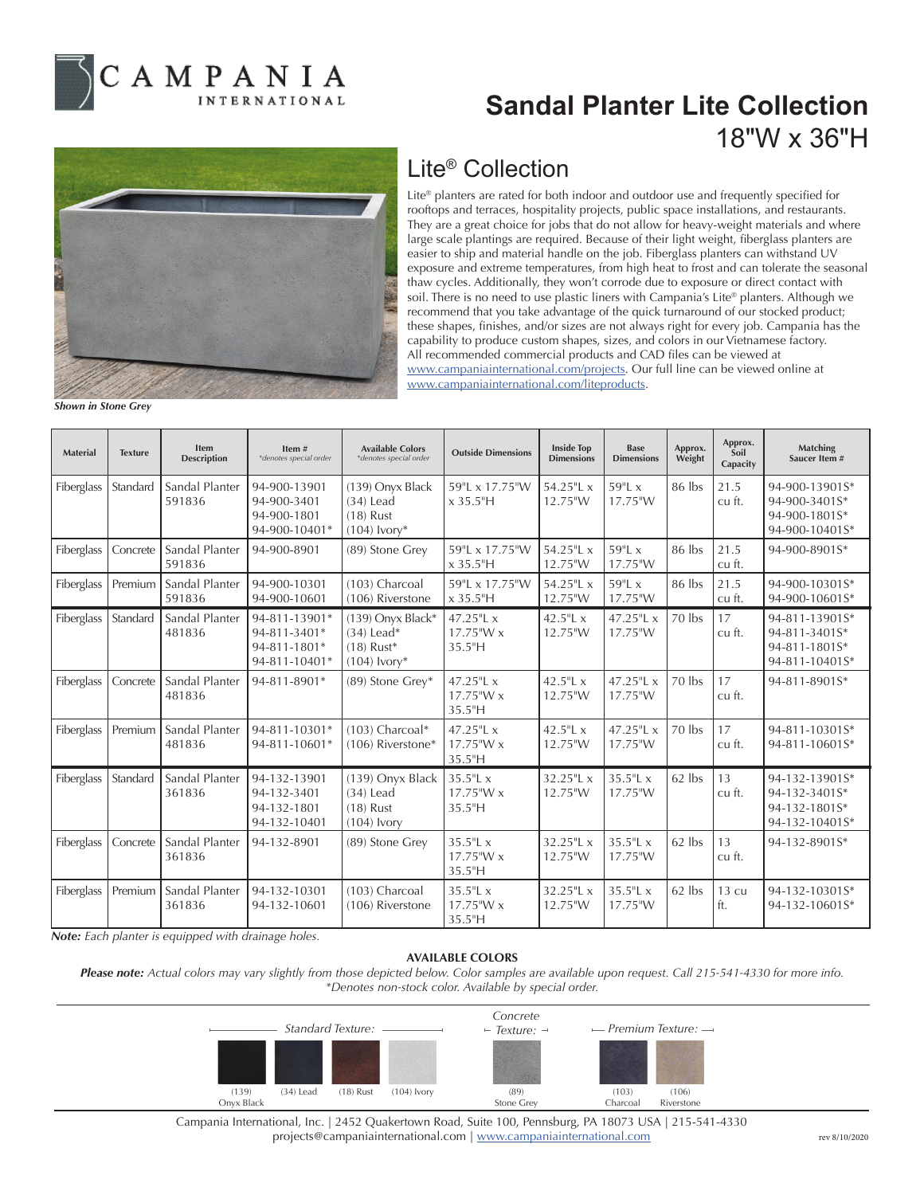

## **Sandal Planter Lite Collection** 18"W x 36"H



## Lite® Collection

Lite® planters are rated for both indoor and outdoor use and frequently specified for rooftops and terraces, hospitality projects, public space installations, and restaurants. They are a great choice for jobs that do not allow for heavy-weight materials and where large scale plantings are required. Because of their light weight, fiberglass planters are easier to ship and material handle on the job. Fiberglass planters can withstand UV exposure and extreme temperatures, from high heat to frost and can tolerate the seasonal thaw cycles. Additionally, they won't corrode due to exposure or direct contact with soil. There is no need to use plastic liners with Campania's Lite® planters. Although we recommend that you take advantage of the quick turnaround of our stocked product; these shapes, finishes, and/or sizes are not always right for every job. Campania has the capability to produce custom shapes, sizes, and colors in our Vietnamese factory. All recommended commercial products and CAD files can be viewed at www.campaniainternational.com/projects. Our full line can be viewed online at www.campaniainternational.com/liteproducts.

*Shown in Stone Grey*

| <b>Material</b> | <b>Texture</b> | <b>Item</b><br><b>Description</b> | Item#<br>*denotes special order                                | <b>Available Colors</b><br>*denotes special order                     | <b>Outside Dimensions</b>              | <b>Inside Top</b><br><b>Dimensions</b> | <b>Base</b><br><b>Dimensions</b> | Approx.<br>Weight | Approx.<br>Soil<br>Capacity | Matching<br>Saucer Item #                                          |
|-----------------|----------------|-----------------------------------|----------------------------------------------------------------|-----------------------------------------------------------------------|----------------------------------------|----------------------------------------|----------------------------------|-------------------|-----------------------------|--------------------------------------------------------------------|
| Fiberglass      | Standard       | Sandal Planter<br>591836          | 94-900-13901<br>94-900-3401<br>94-900-1801<br>94-900-10401*    | (139) Onyx Black<br>$(34)$ Lead<br>$(18)$ Rust<br>$(104)$ lvory*      | 59"L x 17.75"W<br>$x 35.5$ "H          | 54.25"L x<br>12.75"W                   | $59"$ Lx<br>17.75"W              | 86 lbs            | 21.5<br>cu ft.              | 94-900-13901S*<br>94-900-3401S*<br>94-900-1801S*<br>94-900-10401S* |
| Fiberglass      | Concrete       | Sandal Planter<br>591836          | 94-900-8901                                                    | (89) Stone Grey                                                       | 59"L x 17.75"W<br>$x 35.5$ "H          | 54.25"L x<br>12.75"W                   | 59"L x<br>17.75"W                | 86 lbs            | 21.5<br>cu ft.              | 94-900-8901S*                                                      |
| Fiberglass      | Premium        | Sandal Planter<br>591836          | 94-900-10301<br>94-900-10601                                   | (103) Charcoal<br>(106) Riverstone                                    | 59"L x 17.75"W<br>$x 35.5$ "H          | 54.25"L x<br>12.75"W                   | 59"L x<br>17.75"W                | 86 lbs            | 21.5<br>cu ft.              | 94-900-10301S*<br>94-900-10601S*                                   |
| Fiberglass      | Standard       | Sandal Planter<br>481836          | 94-811-13901*<br>94-811-3401*<br>94-811-1801*<br>94-811-10401* | $(139)$ Onyx Black*<br>$(34)$ Lead*<br>$(18)$ Rust*<br>$(104)$ lvory* | 47.25"L x<br>17.75"W x<br>35.5"H       | 42.5"L $x$<br>12.75"W                  | 47.25"L x<br>17.75"W             | 70 lbs            | 17<br>cu ft.                | 94-811-13901S*<br>94-811-3401S*<br>94-811-1801S*<br>94-811-10401S* |
| Fiberglass      | Concrete       | Sandal Planter<br>481836          | 94-811-8901*                                                   | (89) Stone Grey*                                                      | 47.25"L x<br>17.75"W x<br>35.5"H       | 42.5"L $x$<br>12.75"W                  | 47.25"L x<br>17.75"W             | $70$ lbs          | 17<br>cu ft.                | 94-811-8901S*                                                      |
| Fiberglass      | Premium        | Sandal Planter<br>481836          | 94-811-10301*<br>94-811-10601*                                 | $(103)$ Charcoal*<br>(106) Riverstone*                                | 47.25"L x<br>17.75"W x<br>35.5"H       | 42.5"L $x$<br>12.75"W                  | 47.25"L x<br>17.75"W             | $70$ lbs          | 17<br>cu ft.                | 94-811-10301S*<br>94-811-10601S*                                   |
| Fiberglass      | Standard       | Sandal Planter<br>361836          | 94-132-13901<br>94-132-3401<br>94-132-1801<br>94-132-10401     | (139) Onyx Black<br>$(34)$ Lead<br>$(18)$ Rust<br>$(104)$ Ivory       | $35.5$ "L x<br>$17.75$ "W x<br>35.5"H  | 32.25"L x<br>12.75"W                   | 35.5"L x<br>17.75"W              | 62 lbs            | 13<br>cu ft.                | 94-132-13901S*<br>94-132-3401S*<br>94-132-1801S*<br>94-132-10401S* |
| Fiberglass      | Concrete       | Sandal Planter<br>361836          | 94-132-8901                                                    | (89) Stone Grey                                                       | $35.5$ "L x<br>$17.75$ "W x<br>35.5''H | $32.25$ "L x<br>12.75"W                | $35.5$ "L x<br>17.75"W           | 62 lbs            | 13<br>cu ft.                | 94-132-8901S*                                                      |
| Fiberglass      | Premium        | Sandal Planter<br>361836          | 94-132-10301<br>94-132-10601                                   | (103) Charcoal<br>(106) Riverstone                                    | $35.5$ "L x<br>$17.75$ "W x<br>35.5"H  | 32.25"L x<br>12.75"W                   | 35.5"L x<br>17.75"W              | 62 lbs            | 13 <sub>cu</sub><br>ft.     | 94-132-10301S*<br>94-132-10601S*                                   |

*Note: Each planter is equipped with drainage holes.*

## **AVAILABLE COLORS**

*Please note: Actual colors may vary slightly from those depicted below. Color samples are available upon request. Call 215-541-4330 for more info. \*Denotes non-stock color. Available by special order.*



Campania International, Inc. | 2452 Quakertown Road, Suite 100, Pennsburg, PA 18073 USA | 215-541-4330 projects@campaniainternational.com | www.campaniainternational.com